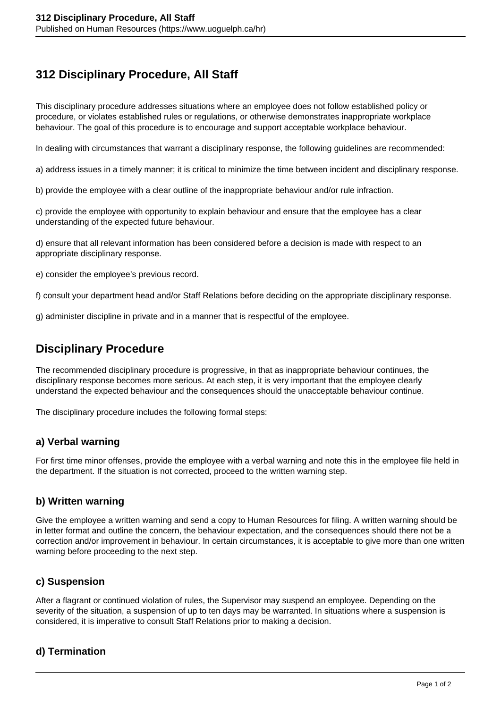# **312 Disciplinary Procedure, All Staff**

This disciplinary procedure addresses situations where an employee does not follow established policy or procedure, or violates established rules or regulations, or otherwise demonstrates inappropriate workplace behaviour. The goal of this procedure is to encourage and support acceptable workplace behaviour.

In dealing with circumstances that warrant a disciplinary response, the following guidelines are recommended:

a) address issues in a timely manner; it is critical to minimize the time between incident and disciplinary response.

b) provide the employee with a clear outline of the inappropriate behaviour and/or rule infraction.

c) provide the employee with opportunity to explain behaviour and ensure that the employee has a clear understanding of the expected future behaviour.

d) ensure that all relevant information has been considered before a decision is made with respect to an appropriate disciplinary response.

e) consider the employee's previous record.

f) consult your department head and/or Staff Relations before deciding on the appropriate disciplinary response.

g) administer discipline in private and in a manner that is respectful of the employee.

## **Disciplinary Procedure**

The recommended disciplinary procedure is progressive, in that as inappropriate behaviour continues, the disciplinary response becomes more serious. At each step, it is very important that the employee clearly understand the expected behaviour and the consequences should the unacceptable behaviour continue.

The disciplinary procedure includes the following formal steps:

## **a) Verbal warning**

For first time minor offenses, provide the employee with a verbal warning and note this in the employee file held in the department. If the situation is not corrected, proceed to the written warning step.

#### **b) Written warning**

Give the employee a written warning and send a copy to Human Resources for filing. A written warning should be in letter format and outline the concern, the behaviour expectation, and the consequences should there not be a correction and/or improvement in behaviour. In certain circumstances, it is acceptable to give more than one written warning before proceeding to the next step.

#### **c) Suspension**

After a flagrant or continued violation of rules, the Supervisor may suspend an employee. Depending on the severity of the situation, a suspension of up to ten days may be warranted. In situations where a suspension is considered, it is imperative to consult Staff Relations prior to making a decision.

## **d) Termination**